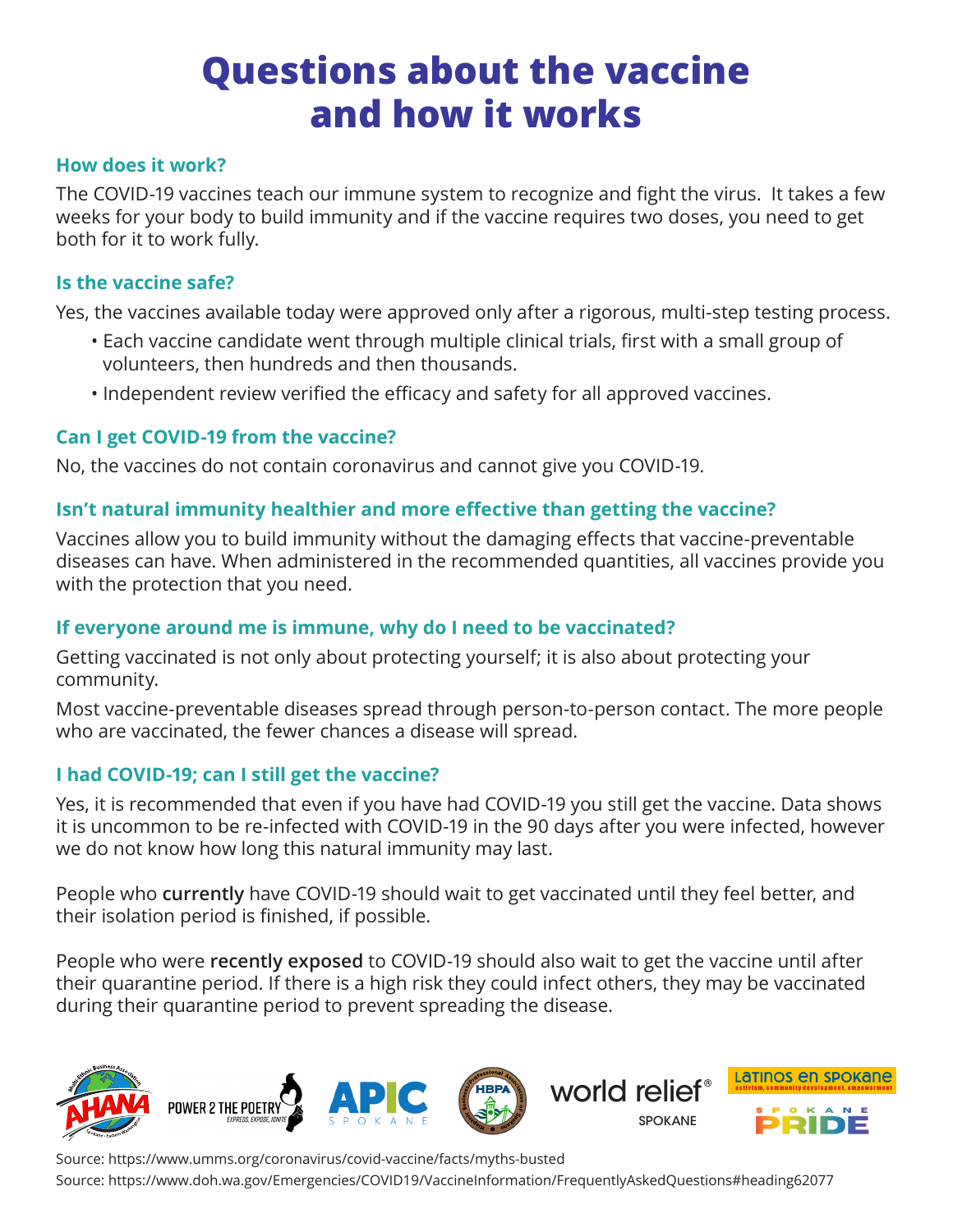## **Questions about the vaccine and how it works**

### **How does it work?**

The COVID-19 vaccines teach our immune system to recognize and fight the virus. It takes a few weeks for your body to build immunity and if the vaccine requires two doses, you need to get both for it to work fully.

### **Is the vaccine safe?**

Yes, the vaccines available today were approved only after a rigorous, multi-step testing process.

- Each vaccine candidate went through multiple clinical trials, first with a small group of volunteers, then hundreds and then thousands.
- Independent review verified the efficacy and safety for all approved vaccines.

### **Can I get COVID-19 from the vaccine?**

No, the vaccines do not contain coronavirus and cannot give you COVID-19.

### **Isn't natural immunity healthier and more effective than getting the vaccine?**

Vaccines allow you to build immunity without the damaging effects that vaccine-preventable diseases can have. When administered in the recommended quantities, all vaccines provide you with the protection that you need.

### **If everyone around me is immune, why do I need to be vaccinated?**

Getting vaccinated is not only about protecting yourself; it is also about protecting your community.

Most vaccine-preventable diseases spread through person-to-person contact. The more people who are vaccinated, the fewer chances a disease will spread.

### **I had COVID-19; can I still get the vaccine?**

Yes, it is recommended that even if you have had COVID-19 you still get the vaccine. Data shows it is uncommon to be re-infected with COVID-19 in the 90 days after you were infected, however we do not know how long this natural immunity may last.

People who **currently** have COVID-19 should wait to get vaccinated until they feel better, and their isolation period is finished, if possible.

People who were **recently exposed** to COVID-19 should also wait to get the vaccine until after their quarantine period. If there is a high risk they could infect others, they may be vaccinated during their quarantine period to prevent spreading the disease.



Source: https://www.umms.org/coronavirus/covid-vaccine/facts/myths-busted Source: https://www.doh.wa.gov/Emergencies/COVID19/VaccineInformation/FrequentlyAskedQuestions#heading62077